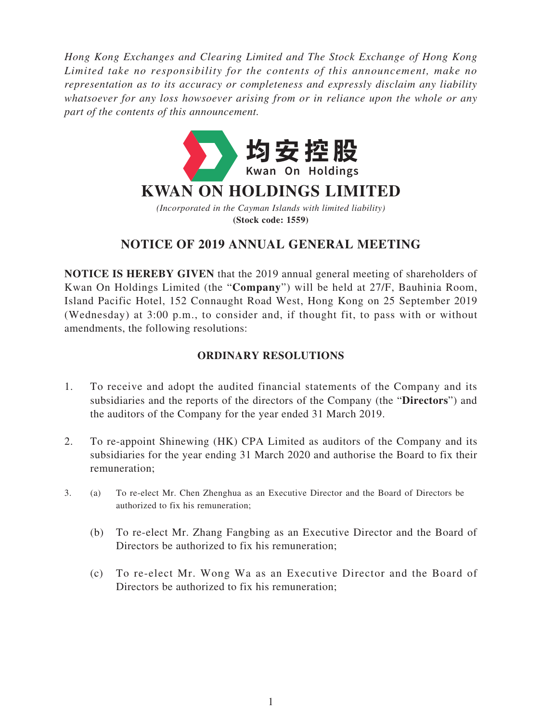*Hong Kong Exchanges and Clearing Limited and The Stock Exchange of Hong Kong Limited take no responsibility for the contents of this announcement, make no representation as to its accuracy or completeness and expressly disclaim any liability whatsoever for any loss howsoever arising from or in reliance upon the whole or any part of the contents of this announcement.*



# **NOTICE OF 2019 ANNUAL GENERAL MEETING**

**NOTICE IS HEREBY GIVEN** that the 2019 annual general meeting of shareholders of Kwan On Holdings Limited (the "**Company**") will be held at 27/F, Bauhinia Room, Island Pacific Hotel, 152 Connaught Road West, Hong Kong on 25 September 2019 (Wednesday) at 3:00 p.m., to consider and, if thought fit, to pass with or without amendments, the following resolutions:

## **ORDINARY RESOLUTIONS**

- 1. To receive and adopt the audited financial statements of the Company and its subsidiaries and the reports of the directors of the Company (the "**Directors**") and the auditors of the Company for the year ended 31 March 2019.
- 2. To re-appoint Shinewing (HK) CPA Limited as auditors of the Company and its subsidiaries for the year ending 31 March 2020 and authorise the Board to fix their remuneration;
- 3. (a) To re-elect Mr. Chen Zhenghua as an Executive Director and the Board of Directors be authorized to fix his remuneration;
	- (b) To re-elect Mr. Zhang Fangbing as an Executive Director and the Board of Directors be authorized to fix his remuneration;
	- (c) To re-elect Mr. Wong Wa as an Executive Director and the Board of Directors be authorized to fix his remuneration;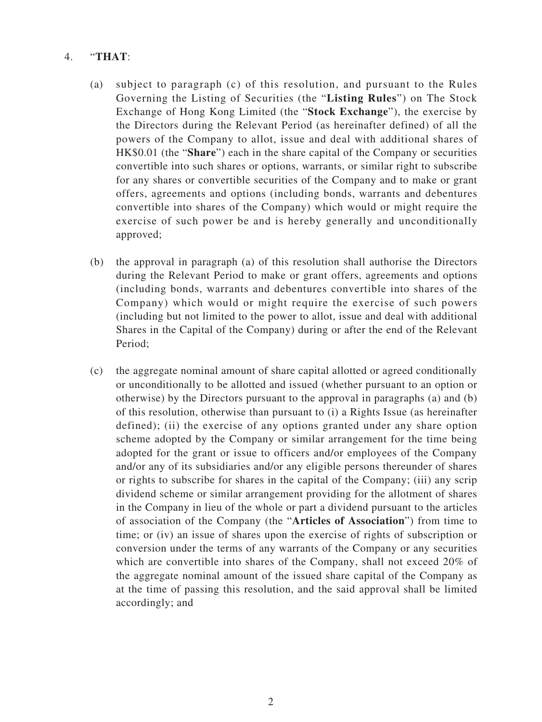#### 4. "**THAT**:

- (a) subject to paragraph (c) of this resolution, and pursuant to the Rules Governing the Listing of Securities (the "**Listing Rules**") on The Stock Exchange of Hong Kong Limited (the "**Stock Exchange**"), the exercise by the Directors during the Relevant Period (as hereinafter defined) of all the powers of the Company to allot, issue and deal with additional shares of HK\$0.01 (the "**Share**") each in the share capital of the Company or securities convertible into such shares or options, warrants, or similar right to subscribe for any shares or convertible securities of the Company and to make or grant offers, agreements and options (including bonds, warrants and debentures convertible into shares of the Company) which would or might require the exercise of such power be and is hereby generally and unconditionally approved;
- (b) the approval in paragraph (a) of this resolution shall authorise the Directors during the Relevant Period to make or grant offers, agreements and options (including bonds, warrants and debentures convertible into shares of the Company) which would or might require the exercise of such powers (including but not limited to the power to allot, issue and deal with additional Shares in the Capital of the Company) during or after the end of the Relevant Period;
- (c) the aggregate nominal amount of share capital allotted or agreed conditionally or unconditionally to be allotted and issued (whether pursuant to an option or otherwise) by the Directors pursuant to the approval in paragraphs (a) and (b) of this resolution, otherwise than pursuant to (i) a Rights Issue (as hereinafter defined); (ii) the exercise of any options granted under any share option scheme adopted by the Company or similar arrangement for the time being adopted for the grant or issue to officers and/or employees of the Company and/or any of its subsidiaries and/or any eligible persons thereunder of shares or rights to subscribe for shares in the capital of the Company; (iii) any scrip dividend scheme or similar arrangement providing for the allotment of shares in the Company in lieu of the whole or part a dividend pursuant to the articles of association of the Company (the "**Articles of Association**") from time to time; or (iv) an issue of shares upon the exercise of rights of subscription or conversion under the terms of any warrants of the Company or any securities which are convertible into shares of the Company, shall not exceed 20% of the aggregate nominal amount of the issued share capital of the Company as at the time of passing this resolution, and the said approval shall be limited accordingly; and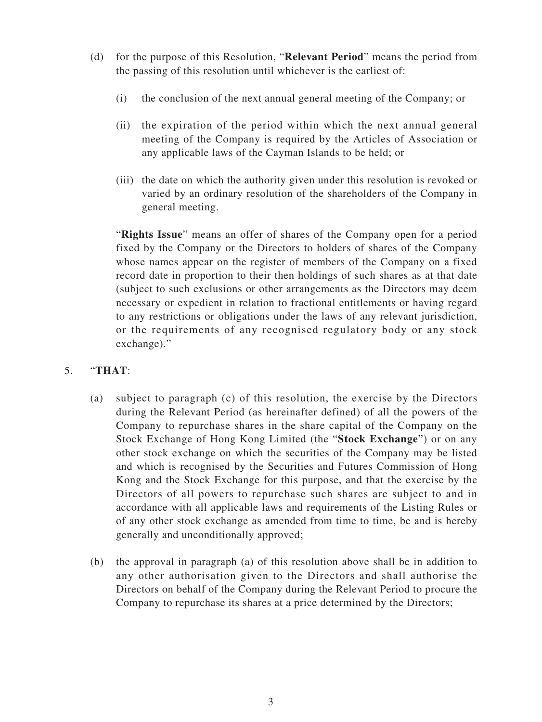- (d) for the purpose of this Resolution, "**Relevant Period**" means the period from the passing of this resolution until whichever is the earliest of:
	- (i) the conclusion of the next annual general meeting of the Company; or
	- (ii) the expiration of the period within which the next annual general meeting of the Company is required by the Articles of Association or any applicable laws of the Cayman Islands to be held; or
	- (iii) the date on which the authority given under this resolution is revoked or varied by an ordinary resolution of the shareholders of the Company in general meeting.

"**Rights Issue**" means an offer of shares of the Company open for a period fixed by the Company or the Directors to holders of shares of the Company whose names appear on the register of members of the Company on a fixed record date in proportion to their then holdings of such shares as at that date (subject to such exclusions or other arrangements as the Directors may deem necessary or expedient in relation to fractional entitlements or having regard to any restrictions or obligations under the laws of any relevant jurisdiction, or the requirements of any recognised regulatory body or any stock exchange)."

### 5. "**THAT**:

- (a) subject to paragraph (c) of this resolution, the exercise by the Directors during the Relevant Period (as hereinafter defined) of all the powers of the Company to repurchase shares in the share capital of the Company on the Stock Exchange of Hong Kong Limited (the "**Stock Exchange**") or on any other stock exchange on which the securities of the Company may be listed and which is recognised by the Securities and Futures Commission of Hong Kong and the Stock Exchange for this purpose, and that the exercise by the Directors of all powers to repurchase such shares are subject to and in accordance with all applicable laws and requirements of the Listing Rules or of any other stock exchange as amended from time to time, be and is hereby generally and unconditionally approved;
- (b) the approval in paragraph (a) of this resolution above shall be in addition to any other authorisation given to the Directors and shall authorise the Directors on behalf of the Company during the Relevant Period to procure the Company to repurchase its shares at a price determined by the Directors;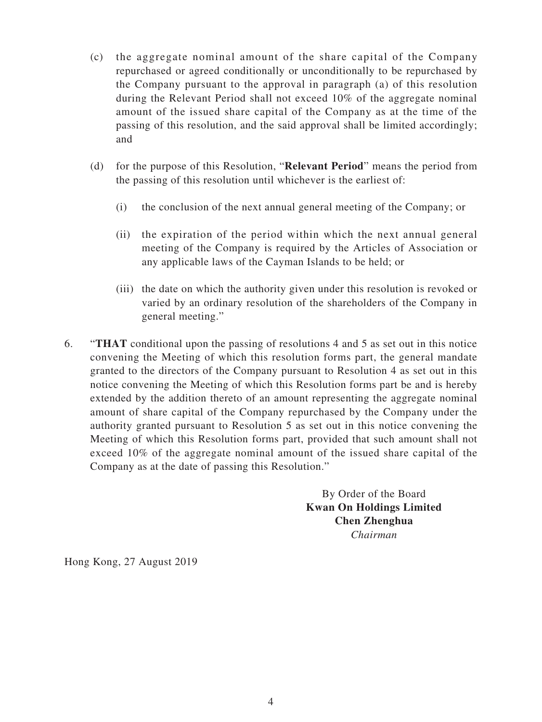- (c) the aggregate nominal amount of the share capital of the Company repurchased or agreed conditionally or unconditionally to be repurchased by the Company pursuant to the approval in paragraph (a) of this resolution during the Relevant Period shall not exceed 10% of the aggregate nominal amount of the issued share capital of the Company as at the time of the passing of this resolution, and the said approval shall be limited accordingly; and
- (d) for the purpose of this Resolution, "**Relevant Period**" means the period from the passing of this resolution until whichever is the earliest of:
	- (i) the conclusion of the next annual general meeting of the Company; or
	- (ii) the expiration of the period within which the next annual general meeting of the Company is required by the Articles of Association or any applicable laws of the Cayman Islands to be held; or
	- (iii) the date on which the authority given under this resolution is revoked or varied by an ordinary resolution of the shareholders of the Company in general meeting."
- 6. "**THAT** conditional upon the passing of resolutions 4 and 5 as set out in this notice convening the Meeting of which this resolution forms part, the general mandate granted to the directors of the Company pursuant to Resolution 4 as set out in this notice convening the Meeting of which this Resolution forms part be and is hereby extended by the addition thereto of an amount representing the aggregate nominal amount of share capital of the Company repurchased by the Company under the authority granted pursuant to Resolution 5 as set out in this notice convening the Meeting of which this Resolution forms part, provided that such amount shall not exceed 10% of the aggregate nominal amount of the issued share capital of the Company as at the date of passing this Resolution."

By Order of the Board **Kwan On Holdings Limited Chen Zhenghua** *Chairman*

Hong Kong, 27 August 2019